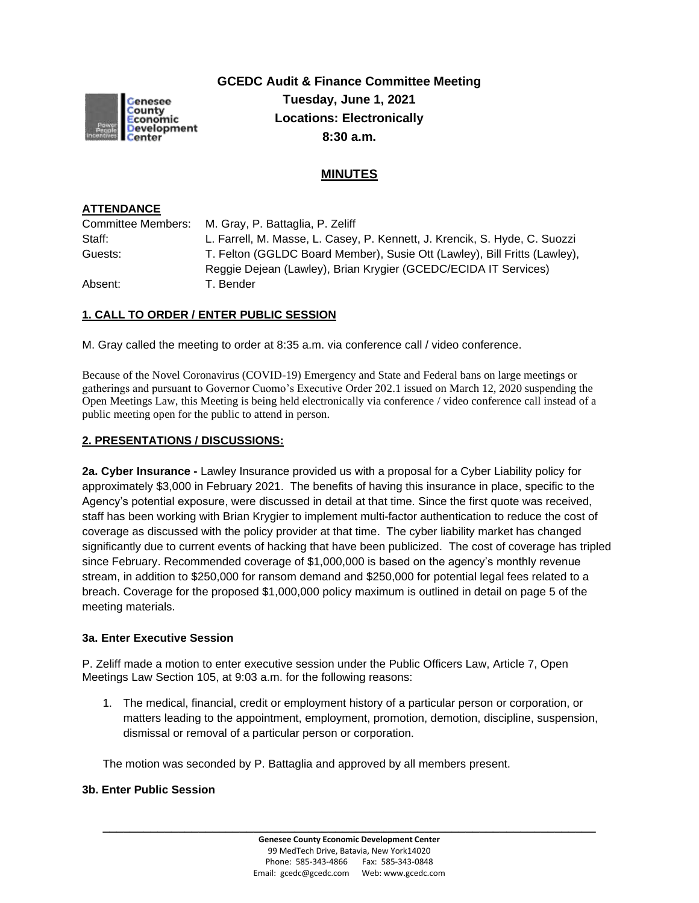

**GCEDC Audit & Finance Committee Meeting Tuesday, June 1, 2021 Locations: Electronically 8:30 a.m.**

# **MINUTES**

### **ATTENDANCE**

|         | Committee Members: M. Gray, P. Battaglia, P. Zeliff                        |
|---------|----------------------------------------------------------------------------|
| Staff:  | L. Farrell, M. Masse, L. Casey, P. Kennett, J. Krencik, S. Hyde, C. Suozzi |
| Guests: | T. Felton (GGLDC Board Member), Susie Ott (Lawley), Bill Fritts (Lawley),  |
|         | Reggie Dejean (Lawley), Brian Krygier (GCEDC/ECIDA IT Services)            |
| Absent: | T. Bender                                                                  |

### **1. CALL TO ORDER / ENTER PUBLIC SESSION**

M. Gray called the meeting to order at 8:35 a.m. via conference call / video conference.

Because of the Novel Coronavirus (COVID-19) Emergency and State and Federal bans on large meetings or gatherings and pursuant to Governor Cuomo's Executive Order 202.1 issued on March 12, 2020 suspending the Open Meetings Law, this Meeting is being held electronically via conference / video conference call instead of a public meeting open for the public to attend in person.

#### **2. PRESENTATIONS / DISCUSSIONS:**

**2a. Cyber Insurance -** Lawley Insurance provided us with a proposal for a Cyber Liability policy for approximately \$3,000 in February 2021. The benefits of having this insurance in place, specific to the Agency's potential exposure, were discussed in detail at that time. Since the first quote was received, staff has been working with Brian Krygier to implement multi-factor authentication to reduce the cost of coverage as discussed with the policy provider at that time. The cyber liability market has changed significantly due to current events of hacking that have been publicized. The cost of coverage has tripled since February. Recommended coverage of \$1,000,000 is based on the agency's monthly revenue stream, in addition to \$250,000 for ransom demand and \$250,000 for potential legal fees related to a breach. Coverage for the proposed \$1,000,000 policy maximum is outlined in detail on page 5 of the meeting materials.

#### **3a. Enter Executive Session**

P. Zeliff made a motion to enter executive session under the Public Officers Law, Article 7, Open Meetings Law Section 105, at 9:03 a.m. for the following reasons:

1. The medical, financial, credit or employment history of a particular person or corporation, or matters leading to the appointment, employment, promotion, demotion, discipline, suspension, dismissal or removal of a particular person or corporation.

The motion was seconded by P. Battaglia and approved by all members present.

#### **3b. Enter Public Session**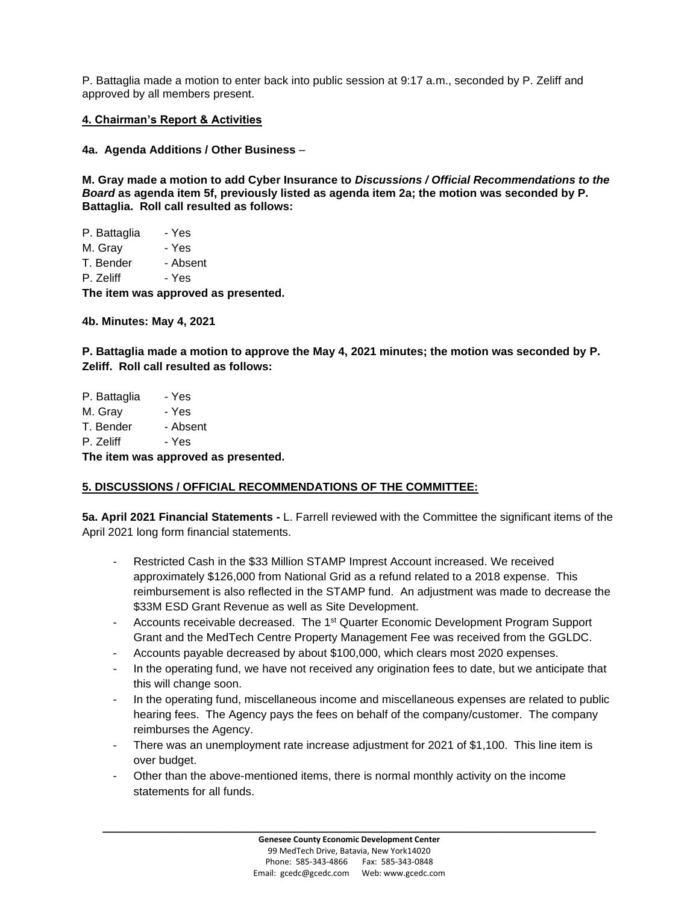P. Battaglia made a motion to enter back into public session at 9:17 a.m., seconded by P. Zeliff and approved by all members present.

#### **4. Chairman's Report & Activities**

**4a. Agenda Additions / Other Business** –

**M. Gray made a motion to add Cyber Insurance to** *Discussions / Official Recommendations to the Board* **as agenda item 5f, previously listed as agenda item 2a; the motion was seconded by P. Battaglia. Roll call resulted as follows:**

| The item was approved as presented. |          |  |
|-------------------------------------|----------|--|
| P. Zeliff                           | - Yes    |  |
| T. Bender                           | - Absent |  |
| M. Grav                             | - Yes    |  |
| P. Battaglia                        | - Yes    |  |

**4b. Minutes: May 4, 2021** 

**P. Battaglia made a motion to approve the May 4, 2021 minutes; the motion was seconded by P. Zeliff. Roll call resulted as follows:**

| TL - 14<br>-----<br>$\cdots$ |          |  |
|------------------------------|----------|--|
| P. Zeliff                    | - Yes    |  |
| T. Bender                    | - Absent |  |
| M. Gray                      | - Yes    |  |
| P. Battaglia                 | - Yes    |  |

**The item was approved as presented.**

### **5. DISCUSSIONS / OFFICIAL RECOMMENDATIONS OF THE COMMITTEE:**

**5a. April 2021 Financial Statements -** L. Farrell reviewed with the Committee the significant items of the April 2021 long form financial statements.

- Restricted Cash in the \$33 Million STAMP Imprest Account increased. We received approximately \$126,000 from National Grid as a refund related to a 2018 expense. This reimbursement is also reflected in the STAMP fund. An adjustment was made to decrease the \$33M ESD Grant Revenue as well as Site Development.
- Accounts receivable decreased. The 1<sup>st</sup> Quarter Economic Development Program Support Grant and the MedTech Centre Property Management Fee was received from the GGLDC.
- Accounts payable decreased by about \$100,000, which clears most 2020 expenses.
- In the operating fund, we have not received any origination fees to date, but we anticipate that this will change soon.
- In the operating fund, miscellaneous income and miscellaneous expenses are related to public hearing fees. The Agency pays the fees on behalf of the company/customer. The company reimburses the Agency.
- There was an unemployment rate increase adjustment for 2021 of \$1,100. This line item is over budget.
- Other than the above-mentioned items, there is normal monthly activity on the income statements for all funds.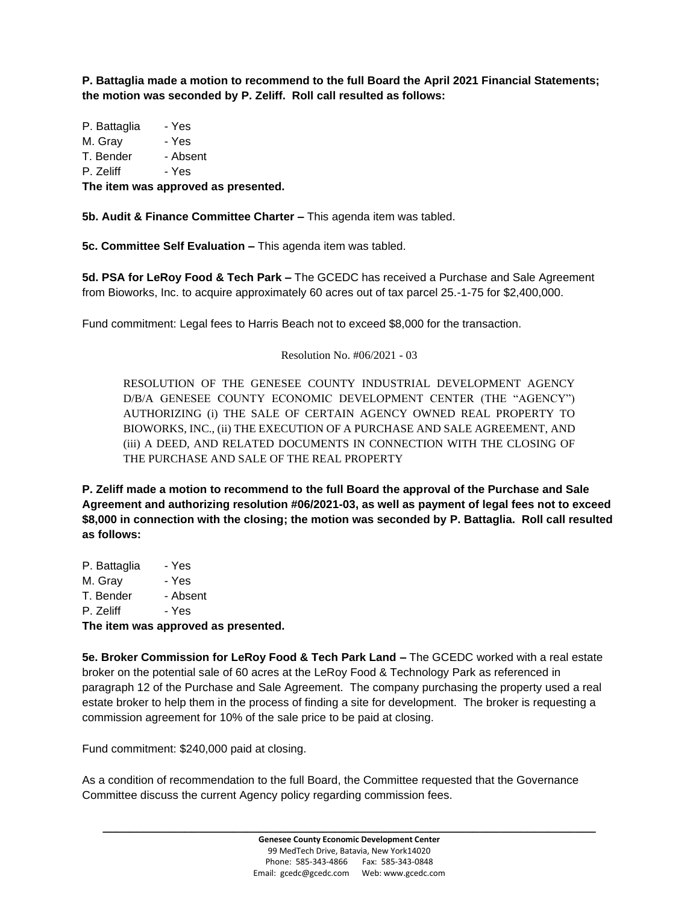**P. Battaglia made a motion to recommend to the full Board the April 2021 Financial Statements; the motion was seconded by P. Zeliff. Roll call resulted as follows:**

P. Battaglia - Yes M. Grav - Yes T. Bender - Absent P. Zeliff - Yes

**The item was approved as presented.**

**5b. Audit & Finance Committee Charter –** This agenda item was tabled.

**5c. Committee Self Evaluation –** This agenda item was tabled.

**5d. PSA for LeRoy Food & Tech Park –** The GCEDC has received a Purchase and Sale Agreement from Bioworks, Inc. to acquire approximately 60 acres out of tax parcel 25.-1-75 for \$2,400,000.

Fund commitment: Legal fees to Harris Beach not to exceed \$8,000 for the transaction.

#### Resolution No. #06/2021 - 03

RESOLUTION OF THE GENESEE COUNTY INDUSTRIAL DEVELOPMENT AGENCY D/B/A GENESEE COUNTY ECONOMIC DEVELOPMENT CENTER (THE "AGENCY") AUTHORIZING (i) THE SALE OF CERTAIN AGENCY OWNED REAL PROPERTY TO BIOWORKS, INC., (ii) THE EXECUTION OF A PURCHASE AND SALE AGREEMENT, AND (iii) A DEED, AND RELATED DOCUMENTS IN CONNECTION WITH THE CLOSING OF THE PURCHASE AND SALE OF THE REAL PROPERTY

**P. Zeliff made a motion to recommend to the full Board the approval of the Purchase and Sale Agreement and authorizing resolution #06/2021-03, as well as payment of legal fees not to exceed \$8,000 in connection with the closing; the motion was seconded by P. Battaglia. Roll call resulted as follows:**

P. Battaglia - Yes M. Gray - Yes T. Bender - Absent P. Zeliff - Yes

**The item was approved as presented.**

**5e. Broker Commission for LeRoy Food & Tech Park Land –** The GCEDC worked with a real estate broker on the potential sale of 60 acres at the LeRoy Food & Technology Park as referenced in paragraph 12 of the Purchase and Sale Agreement. The company purchasing the property used a real estate broker to help them in the process of finding a site for development. The broker is requesting a commission agreement for 10% of the sale price to be paid at closing.

Fund commitment: \$240,000 paid at closing.

As a condition of recommendation to the full Board, the Committee requested that the Governance Committee discuss the current Agency policy regarding commission fees.